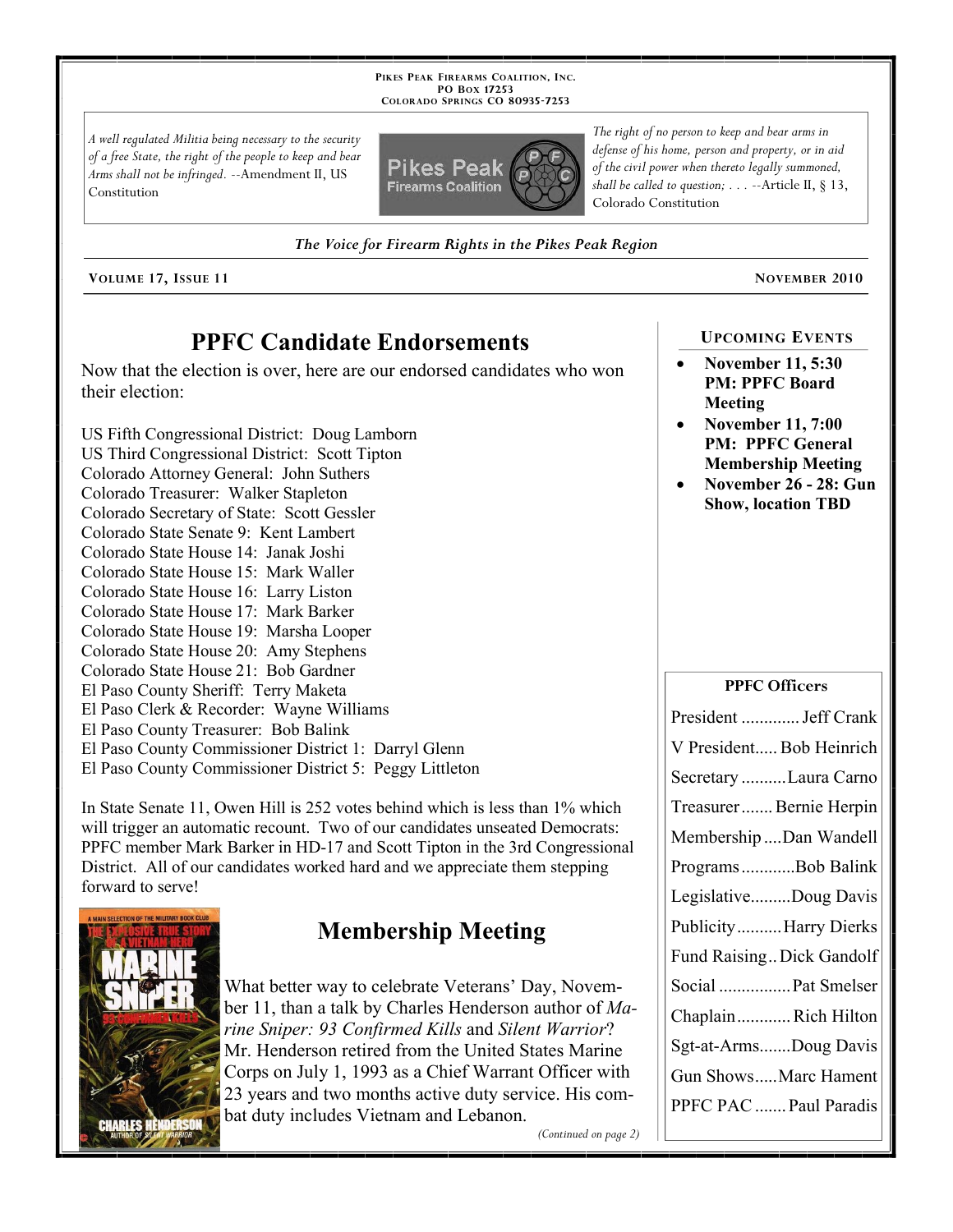**PIKES PEAK FIREARMS COALITION, INC. PO BOX 17253 COLORADO SPRINGS CO 80935 -7253**

*A well regulated Militia being necessary to the security of a free State, the right of the people to keep and bear Arms shall not be infringed.* --Amendment II, US Constitution



*The right of no person to keep and bear arms in defense of his home, person and property, or in aid of the civil power when thereto legally summoned, shall be called to question; . . .* --Article II, § 13, Colorado Constitution

*The Voice for Firearm Rights in the Pikes Peak Region*

**VOLUME 17, ISSUE 11 NOVEMBER 2010**

# **PPFC Candidate Endorsements**

Now that the election is over, here are our endorsed candidates who won their election:

US Fifth Congressional District: Doug Lamborn US Third Congressional District: Scott Tipton Colorado Attorney General: John Suthers Colorado Treasurer: Walker Stapleton Colorado Secretary of State: Scott Gessler Colorado State Senate 9: Kent Lambert Colorado State House 14: Janak Joshi Colorado State House 15: Mark Waller Colorado State House 16: Larry Liston Colorado State House 17: Mark Barker Colorado State House 19: Marsha Looper Colorado State House 20: Amy Stephens Colorado State House 21: Bob Gardner El Paso County Sheriff: Terry Maketa El Paso Clerk & Recorder: Wayne Williams El Paso County Treasurer: Bob Balink El Paso County Commissioner District 1: Darryl Glenn El Paso County Commissioner District 5: Peggy Littleton

In State Senate 11, Owen Hill is 252 votes behind which is less than 1% which will trigger an automatic recount. Two of our candidates unseated Democrats: PPFC member Mark Barker in HD-17 and Scott Tipton in the 3rd Congressional District. All of our candidates worked hard and we appreciate them stepping forward to serve!



# **Membership Meeting**

What better way to celebrate Veterans' Day, November 11, than a talk by Charles Henderson author of *Marine Sniper: 93 Confirmed Kills* and *Silent Warrior*? Mr. Henderson retired from the United States Marine Corps on July 1, 1993 as a Chief Warrant Officer with 23 years and two months active duty service. His combat duty includes Vietnam and Lebanon.

*(Continued on page 2)*

### **UPCOMING EVENTS**

- **November 11, 5:30 PM: PPFC Board Meeting**
- **November 11, 7:00 PM: PPFC General Membership Meeting**
- **November 26 28: Gun Show, location TBD**

#### **PPFC Officers**

| President  Jeff Crank     |
|---------------------------|
| V President Bob Heinrich  |
| Secretary Laura Carno     |
| Treasurer Bernie Herpin   |
| Membership Dan Wandell    |
| ProgramsBob Balink        |
| LegislativeDoug Davis     |
| PublicityHarry Dierks     |
| Fund Raising Dick Gandolf |
| Social  Pat Smelser       |
| ChaplainRich Hilton       |
| Sgt-at-ArmsDoug Davis     |
| Gun ShowsMarc Hament      |
| PPFC PAC  Paul Paradis    |